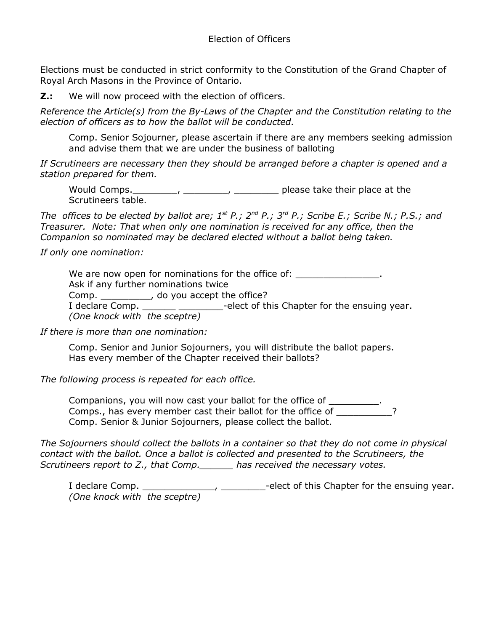Elections must be conducted in strict conformity to the Constitution of the Grand Chapter of Royal Arch Masons in the Province of Ontario.

**Z.:** We will now proceed with the election of officers.

*Reference the Article(s) from the By-Laws of the Chapter and the Constitution relating to the election of officers as to how the ballot will be conducted.* 

Comp. Senior Sojourner, please ascertain if there are any members seeking admission and advise them that we are under the business of balloting

*If Scrutineers are necessary then they should be arranged before a chapter is opened and a station prepared for them.*

Would Comps. \_\_\_\_\_\_\_\_, \_\_\_\_\_\_\_\_, \_\_\_\_\_\_\_\_\_\_ please take their place at the Scrutineers table.

*The offices to be elected by ballot are;*  $1^{st}$  *P.;*  $2^{nd}$  *P.; Scribe E.; Scribe N.; P.S.; and Treasurer. Note: That when only one nomination is received for any office, then the Companion so nominated may be declared elected without a ballot being taken.*

*If only one nomination:*

We are now open for nominations for the office of:  $\qquad \qquad$ Ask if any further nominations twice Comp. \_\_\_\_\_\_\_\_\_\_, do you accept the office? I declare Comp. \_\_\_\_\_\_\_ \_\_\_\_\_\_\_\_\_-elect of this Chapter for the ensuing year. *(One knock with the sceptre)*

*If there is more than one nomination:*

Comp. Senior and Junior Sojourners, you will distribute the ballot papers. Has every member of the Chapter received their ballots?

*The following process is repeated for each office.*

Companions, you will now cast your ballot for the office of \_\_\_\_\_\_\_\_\_. Comps., has every member cast their ballot for the office of \_\_\_\_\_\_\_\_\_\_\_? Comp. Senior & Junior Sojourners, please collect the ballot.

*The Sojourners should collect the ballots in a container so that they do not come in physical contact with the ballot. Once a ballot is collected and presented to the Scrutineers, the Scrutineers report to Z., that Comp.\_\_\_\_\_\_ has received the necessary votes.*

I declare Comp. \_\_\_\_\_\_\_\_\_\_\_\_\_\_\_, \_\_\_\_\_\_\_\_\_-elect of this Chapter for the ensuing year. *(One knock with the sceptre)*